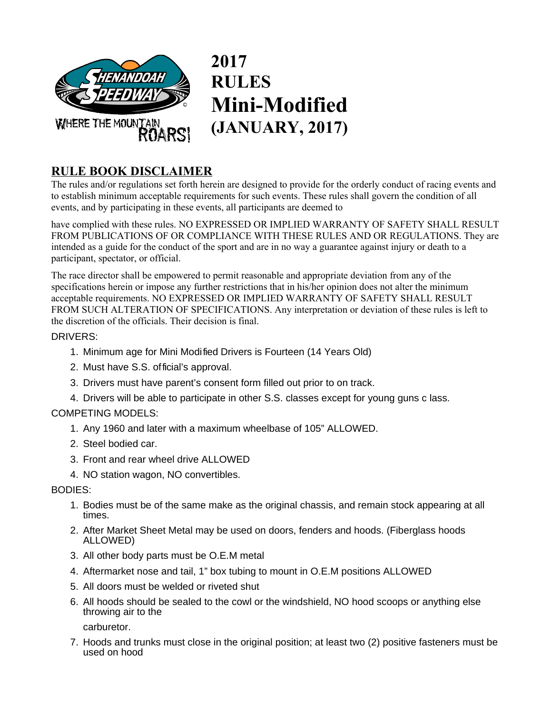

**2017 RULES Mini-Modified (JANUARY, 2017)** 

# **RULE BOOK DISCLAIMER**

The rules and/or regulations set forth herein are designed to provide for the orderly conduct of racing events and to establish minimum acceptable requirements for such events. These rules shall govern the condition of all events, and by participating in these events, all participants are deemed to

have complied with these rules. NO EXPRESSED OR IMPLIED WARRANTY OF SAFETY SHALL RESULT FROM PUBLICATIONS OF OR COMPLIANCE WITH THESE RULES AND OR REGULATIONS. They are intended as a guide for the conduct of the sport and are in no way a guarantee against injury or death to a participant, spectator, or official.

The race director shall be empowered to permit reasonable and appropriate deviation from any of the specifications herein or impose any further restrictions that in his/her opinion does not alter the minimum acceptable requirements. NO EXPRESSED OR IMPLIED WARRANTY OF SAFETY SHALL RESULT FROM SUCH ALTERATION OF SPECIFICATIONS. Any interpretation or deviation of these rules is left to the discretion of the officials. Their decision is final.

### DRIVERS:

- 1. Minimum age for Mini Modified Drivers is Fourteen (14 Years Old)
- 2. Must have S.S. official's approval.
- 3. Drivers must have parent's consent form filled out prior to on track.
- 4. Drivers will be able to participate in other S.S. classes except for young guns c lass.

### COMPETING MODELS:

- 1. Any 1960 and later with a maximum wheelbase of 105" ALLOWED.
- 2. Steel bodied car.
- 3. Front and rear wheel drive ALLOWED
- 4. NO station wagon, NO convertibles.

BODIES:

- 1. Bodies must be of the same make as the original chassis, and remain stock appearing at all times.
- 2. After Market Sheet Metal may be used on doors, fenders and hoods. (Fiberglass hoods ALLOWED)
- 3. All other body parts must be O.E.M metal
- 4. Aftermarket nose and tail, 1" box tubing to mount in O.E.M positions ALLOWED
- 5. All doors must be welded or riveted shut
- 6. All hoods should be sealed to the cowl or the windshield, NO hood scoops or anything else throwing air to the

carburetor.

7. Hoods and trunks must close in the original position; at least two (2) positive fasteners must be used on hood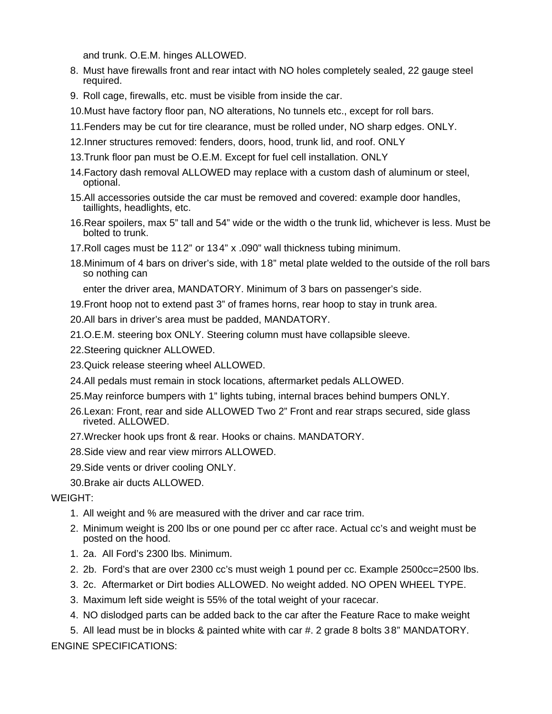and trunk. O.E.M. hinges ALLOWED.

- 8. Must have firewalls front and rear intact with NO holes completely sealed, 22 gauge steel required.
- 9. Roll cage, firewalls, etc. must be visible from inside the car.
- 10.Must have factory floor pan, NO alterations, No tunnels etc., except for roll bars.
- 11.Fenders may be cut for tire clearance, must be rolled under, NO sharp edges. ONLY.
- 12.Inner structures removed: fenders, doors, hood, trunk lid, and roof. ONLY
- 13.Trunk floor pan must be O.E.M. Except for fuel cell installation. ONLY
- 14.Factory dash removal ALLOWED may replace with a custom dash of aluminum or steel, optional.
- 15.All accessories outside the car must be removed and covered: example door handles, taillights, headlights, etc.
- 16.Rear spoilers, max 5" tall and 54" wide or the width o the trunk lid, whichever is less. Must be bolted to trunk.
- 17.Roll cages must be 112" or 134" x .090" wall thickness tubing minimum.
- 18.Minimum of 4 bars on driver's side, with 18" metal plate welded to the outside of the roll bars so nothing can

enter the driver area, MANDATORY. Minimum of 3 bars on passenger's side.

- 19.Front hoop not to extend past 3" of frames horns, rear hoop to stay in trunk area.
- 20.All bars in driver's area must be padded, MANDATORY.
- 21.O.E.M. steering box ONLY. Steering column must have collapsible sleeve.
- 22.Steering quickner ALLOWED.
- 23.Quick release steering wheel ALLOWED.
- 24.All pedals must remain in stock locations, aftermarket pedals ALLOWED.
- 25.May reinforce bumpers with 1" lights tubing, internal braces behind bumpers ONLY.
- 26.Lexan: Front, rear and side ALLOWED Two 2" Front and rear straps secured, side glass riveted. ALLOWED.
- 27.Wrecker hook ups front & rear. Hooks or chains. MANDATORY.
- 28.Side view and rear view mirrors ALLOWED.
- 29.Side vents or driver cooling ONLY.
- 30.Brake air ducts ALLOWED.

#### WEIGHT:

- 1. All weight and % are measured with the driver and car race trim.
- 2. Minimum weight is 200 lbs or one pound per cc after race. Actual cc's and weight must be posted on the hood.
- 1. 2a. All Ford's 2300 lbs. Minimum.
- 2. 2b. Ford's that are over 2300 cc's must weigh 1 pound per cc. Example 2500cc=2500 lbs.
- 3. 2c. Aftermarket or Dirt bodies ALLOWED. No weight added. NO OPEN WHEEL TYPE.
- 3. Maximum left side weight is 55% of the total weight of your racecar.
- 4. NO dislodged parts can be added back to the car after the Feature Race to make weight

5. All lead must be in blocks & painted white with car #. 2 grade 8 bolts 38" MANDATORY. ENGINE SPECIFICATIONS: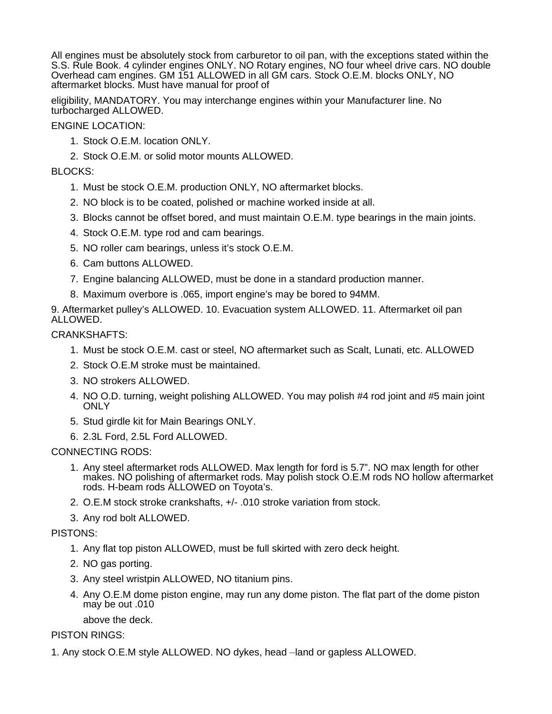All engines must be absolutely stock from carburetor to oil pan, with the exceptions stated within the S.S. Rule Book. 4 cylinder engines ONLY. NO Rotary engines, NO four wheel drive cars. NO double Overhead cam engines. GM 151 ALLOWED in all GM cars. Stock O.E.M. blocks ONLY, NO aftermarket blocks. Must have manual for proof of

eligibility, MANDATORY. You may interchange engines within your Manufacturer line. No turbocharged ALLOWED.

ENGINE LOCATION:

- 1. Stock O.E.M. location ONLY.
- 2. Stock O.E.M. or solid motor mounts ALLOWED.

#### BLOCKS:

- 1. Must be stock O.E.M. production ONLY, NO aftermarket blocks.
- 2. NO block is to be coated, polished or machine worked inside at all.
- 3. Blocks cannot be offset bored, and must maintain O.E.M. type bearings in the main joints.
- 4. Stock O.E.M. type rod and cam bearings.
- 5. NO roller cam bearings, unless it's stock O.E.M.
- 6. Cam buttons ALLOWED.
- 7. Engine balancing ALLOWED, must be done in a standard production manner.
- 8. Maximum overbore is .065, import engine's may be bored to 94MM.

9. Aftermarket pulley's ALLOWED. 10. Evacuation system ALLOWED. 11. Aftermarket oil pan ALLOWED.

#### CRANKSHAFTS:

- 1. Must be stock O.E.M. cast or steel, NO aftermarket such as Scalt, Lunati, etc. ALLOWED
- 2. Stock O.E.M stroke must be maintained.
- 3. NO strokers ALLOWED.
- 4. NO O.D. turning, weight polishing ALLOWED. You may polish #4 rod joint and #5 main joint **ONLY**
- 5. Stud girdle kit for Main Bearings ONLY.
- 6. 2.3L Ford, 2.5L Ford ALLOWED.

#### CONNECTING RODS:

- 1. Any steel aftermarket rods ALLOWED. Max length for ford is 5.7". NO max length for other makes. NO polishing of aftermarket rods. May polish stock O.E.M rods NO hollow aftermarket rods. H-beam rods ALLOWED on Toyota's.
- 2. O.E.M stock stroke crankshafts, +/- .010 stroke variation from stock.
- 3. Any rod bolt ALLOWED.

### PISTONS:

- 1. Any flat top piston ALLOWED, must be full skirted with zero deck height.
- 2. NO gas porting.
- 3. Any steel wristpin ALLOWED, NO titanium pins.
- 4. Any O.E.M dome piston engine, may run any dome piston. The flat part of the dome piston may be out .010

above the deck.

#### PISTON RINGS:

1. Any stock O.E.M style ALLOWED. NO dykes, head –land or gapless ALLOWED.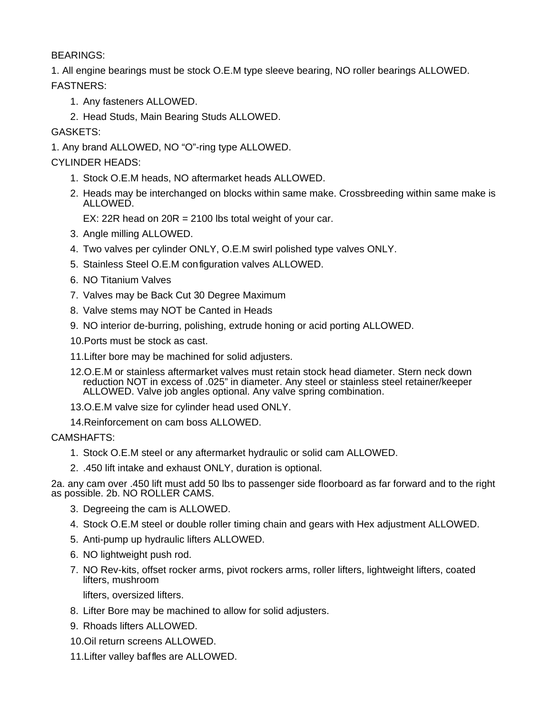BEARINGS:

1. All engine bearings must be stock O.E.M type sleeve bearing, NO roller bearings ALLOWED. FASTNERS:

- 1. Any fasteners ALLOWED.
- 2. Head Studs, Main Bearing Studs ALLOWED.

GASKETS:

1. Any brand ALLOWED, NO "O"-ring type ALLOWED.

CYLINDER HEADS:

- 1. Stock O.E.M heads, NO aftermarket heads ALLOWED.
- 2. Heads may be interchanged on blocks within same make. Crossbreeding within same make is ALLOWED.
	- EX: 22R head on  $20R = 2100$  lbs total weight of your car.
- 3. Angle milling ALLOWED.
- 4. Two valves per cylinder ONLY, O.E.M swirl polished type valves ONLY.
- 5. Stainless Steel O.E.M configuration valves ALLOWED.
- 6. NO Titanium Valves
- 7. Valves may be Back Cut 30 Degree Maximum
- 8. Valve stems may NOT be Canted in Heads
- 9. NO interior de-burring, polishing, extrude honing or acid porting ALLOWED.
- 10.Ports must be stock as cast.
- 11.Lifter bore may be machined for solid adjusters.
- 12.O.E.M or stainless aftermarket valves must retain stock head diameter. Stern neck down reduction NOT in excess of .025" in diameter. Any steel or stainless steel retainer/keeper ALLOWED. Valve job angles optional. Any valve spring combination.
- 13.O.E.M valve size for cylinder head used ONLY.
- 14.Reinforcement on cam boss ALLOWED.

CAMSHAFTS:

- 1. Stock O.E.M steel or any aftermarket hydraulic or solid cam ALLOWED.
- 2. .450 lift intake and exhaust ONLY, duration is optional.

2a. any cam over .450 lift must add 50 lbs to passenger side floorboard as far forward and to the right as possible. 2b. NO ROLLER CAMS.

- 3. Degreeing the cam is ALLOWED.
- 4. Stock O.E.M steel or double roller timing chain and gears with Hex adjustment ALLOWED.
- 5. Anti-pump up hydraulic lifters ALLOWED.
- 6. NO lightweight push rod.
- 7. NO Rev-kits, offset rocker arms, pivot rockers arms, roller lifters, lightweight lifters, coated lifters, mushroom

lifters, oversized lifters.

- 8. Lifter Bore may be machined to allow for solid adjusters.
- 9. Rhoads lifters ALLOWED.
- 10.Oil return screens ALLOWED.
- 11.Lifter valley baffles are ALLOWED.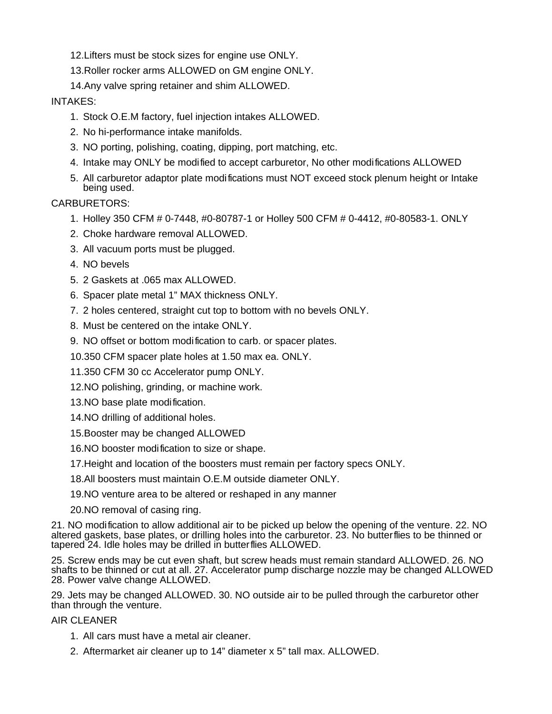12.Lifters must be stock sizes for engine use ONLY.

13.Roller rocker arms ALLOWED on GM engine ONLY.

14.Any valve spring retainer and shim ALLOWED.

### INTAKES:

- 1. Stock O.E.M factory, fuel injection intakes ALLOWED.
- 2. No hi-performance intake manifolds.
- 3. NO porting, polishing, coating, dipping, port matching, etc.
- 4. Intake may ONLY be modified to accept carburetor, No other modifications ALLOWED
- 5. All carburetor adaptor plate modifications must NOT exceed stock plenum height or Intake being used.

CARBURETORS:

- 1. Holley 350 CFM # 0-7448, #0-80787-1 or Holley 500 CFM # 0-4412, #0-80583-1. ONLY
- 2. Choke hardware removal ALLOWED.
- 3. All vacuum ports must be plugged.
- 4. NO bevels
- 5. 2 Gaskets at .065 max ALLOWED.
- 6. Spacer plate metal 1" MAX thickness ONLY.
- 7. 2 holes centered, straight cut top to bottom with no bevels ONLY.
- 8. Must be centered on the intake ONLY.
- 9. NO offset or bottom modification to carb. or spacer plates.
- 10.350 CFM spacer plate holes at 1.50 max ea. ONLY.
- 11.350 CFM 30 cc Accelerator pump ONLY.
- 12.NO polishing, grinding, or machine work.
- 13.NO base plate modification.
- 14.NO drilling of additional holes.
- 15.Booster may be changed ALLOWED
- 16.NO booster modification to size or shape.
- 17.Height and location of the boosters must remain per factory specs ONLY.
- 18.All boosters must maintain O.E.M outside diameter ONLY.
- 19.NO venture area to be altered or reshaped in any manner
- 20.NO removal of casing ring.

21. NO modification to allow additional air to be picked up below the opening of the venture. 22. NO altered gaskets, base plates, or drilling holes into the carburetor. 23. No butterflies to be thinned or tapered 24. Idle holes may be drilled in butterflies ALLOWED.

25. Screw ends may be cut even shaft, but screw heads must remain standard ALLOWED. 26. NO shafts to be thinned or cut at all. 27. Accelerator pump discharge nozzle may be changed ALLOWED 28. Power valve change ALLOWED.

29. Jets may be changed ALLOWED. 30. NO outside air to be pulled through the carburetor other than through the venture.

### AIR CLEANER

- 1. All cars must have a metal air cleaner.
- 2. Aftermarket air cleaner up to 14" diameter x 5" tall max. ALLOWED.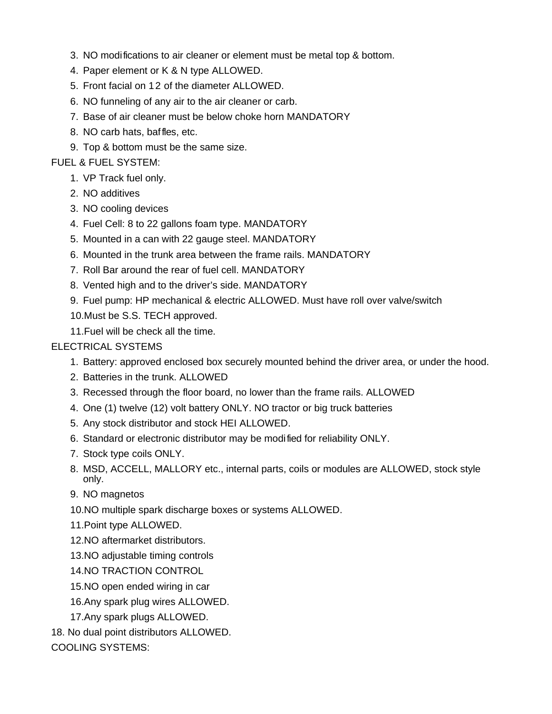- 3. NO modifications to air cleaner or element must be metal top & bottom.
- 4. Paper element or K & N type ALLOWED.
- 5. Front facial on 12 of the diameter ALLOWED.
- 6. NO funneling of any air to the air cleaner or carb.
- 7. Base of air cleaner must be below choke horn MANDATORY
- 8. NO carb hats, baffles, etc.
- 9. Top & bottom must be the same size.

### FUEL & FUEL SYSTEM:

- 1. VP Track fuel only.
- 2. NO additives
- 3. NO cooling devices
- 4. Fuel Cell: 8 to 22 gallons foam type. MANDATORY
- 5. Mounted in a can with 22 gauge steel. MANDATORY
- 6. Mounted in the trunk area between the frame rails. MANDATORY
- 7. Roll Bar around the rear of fuel cell. MANDATORY
- 8. Vented high and to the driver's side. MANDATORY
- 9. Fuel pump: HP mechanical & electric ALLOWED. Must have roll over valve/switch 10.Must be S.S. TECH approved.
- 11.Fuel will be check all the time.

# ELECTRICAL SYSTEMS

- 1. Battery: approved enclosed box securely mounted behind the driver area, or under the hood.
- 2. Batteries in the trunk. ALLOWED
- 3. Recessed through the floor board, no lower than the frame rails. ALLOWED
- 4. One (1) twelve (12) volt battery ONLY. NO tractor or big truck batteries
- 5. Any stock distributor and stock HEI ALLOWED.
- 6. Standard or electronic distributor may be modified for reliability ONLY.
- 7. Stock type coils ONLY.
- 8. MSD, ACCELL, MALLORY etc., internal parts, coils or modules are ALLOWED, stock style only.
- 9. NO magnetos
- 10.NO multiple spark discharge boxes or systems ALLOWED.
- 11.Point type ALLOWED.
- 12.NO aftermarket distributors.
- 13.NO adjustable timing controls
- 14.NO TRACTION CONTROL
- 15.NO open ended wiring in car
- 16.Any spark plug wires ALLOWED.
- 17.Any spark plugs ALLOWED.
- 18. No dual point distributors ALLOWED.

COOLING SYSTEMS: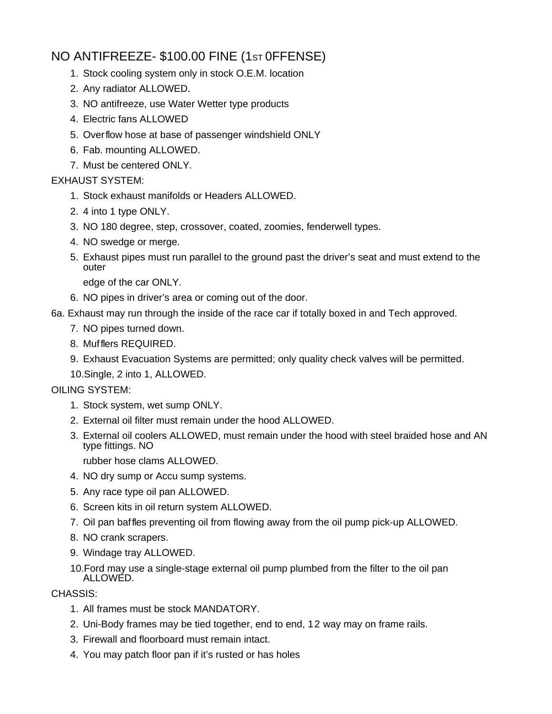# NO ANTIFREEZE- \$100.00 FINE (1ST 0FFENSE)

- 1. Stock cooling system only in stock O.E.M. location
- 2. Any radiator ALLOWED.
- 3. NO antifreeze, use Water Wetter type products
- 4. Electric fans ALLOWED
- 5. Overflow hose at base of passenger windshield ONLY
- 6. Fab. mounting ALLOWED.
- 7. Must be centered ONLY.

### EXHAUST SYSTEM:

- 1. Stock exhaust manifolds or Headers ALLOWED.
- 2. 4 into 1 type ONLY.
- 3. NO 180 degree, step, crossover, coated, zoomies, fenderwell types.
- 4. NO swedge or merge.
- 5. Exhaust pipes must run parallel to the ground past the driver's seat and must extend to the outer

edge of the car ONLY.

- 6. NO pipes in driver's area or coming out of the door.
- 6a. Exhaust may run through the inside of the race car if totally boxed in and Tech approved.
	- 7. NO pipes turned down.
	- 8. Mufflers REQUIRED.
	- 9. Exhaust Evacuation Systems are permitted; only quality check valves will be permitted.

10.Single, 2 into 1, ALLOWED.

### OILING SYSTEM:

- 1. Stock system, wet sump ONLY.
- 2. External oil filter must remain under the hood ALLOWED.
- 3. External oil coolers ALLOWED, must remain under the hood with steel braided hose and AN type fittings. NO

rubber hose clams ALLOWED.

- 4. NO dry sump or Accu sump systems.
- 5. Any race type oil pan ALLOWED.
- 6. Screen kits in oil return system ALLOWED.
- 7. Oil pan baffles preventing oil from flowing away from the oil pump pick-up ALLOWED.
- 8. NO crank scrapers.
- 9. Windage tray ALLOWED.
- 10.Ford may use a single-stage external oil pump plumbed from the filter to the oil pan ALLOWED.

### CHASSIS:

- 1. All frames must be stock MANDATORY.
- 2. Uni-Body frames may be tied together, end to end, 12 way may on frame rails.
- 3. Firewall and floorboard must remain intact.
- 4. You may patch floor pan if it's rusted or has holes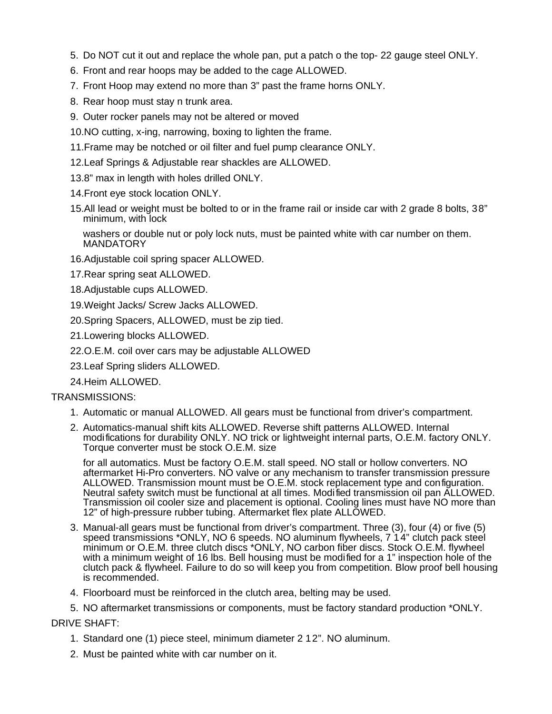- 5. Do NOT cut it out and replace the whole pan, put a patch o the top- 22 gauge steel ONLY.
- 6. Front and rear hoops may be added to the cage ALLOWED.
- 7. Front Hoop may extend no more than 3" past the frame horns ONLY.
- 8. Rear hoop must stay n trunk area.
- 9. Outer rocker panels may not be altered or moved
- 10.NO cutting, x-ing, narrowing, boxing to lighten the frame.
- 11.Frame may be notched or oil filter and fuel pump clearance ONLY.
- 12.Leaf Springs & Adjustable rear shackles are ALLOWED.
- 13.8" max in length with holes drilled ONLY.
- 14.Front eye stock location ONLY.
- 15.All lead or weight must be bolted to or in the frame rail or inside car with 2 grade 8 bolts, 38" minimum, with lock

washers or double nut or poly lock nuts, must be painted white with car number on them. **MANDATORY** 

16.Adjustable coil spring spacer ALLOWED.

17.Rear spring seat ALLOWED.

18.Adjustable cups ALLOWED.

19.Weight Jacks/ Screw Jacks ALLOWED.

20.Spring Spacers, ALLOWED, must be zip tied.

21.Lowering blocks ALLOWED.

22.O.E.M. coil over cars may be adjustable ALLOWED

23.Leaf Spring sliders ALLOWED.

24.Heim ALLOWED.

### TRANSMISSIONS:

- 1. Automatic or manual ALLOWED. All gears must be functional from driver's compartment.
- 2. Automatics-manual shift kits ALLOWED. Reverse shift patterns ALLOWED. Internal modifications for durability ONLY. NO trick or lightweight internal parts, O.E.M. factory ONLY. Torque converter must be stock O.E.M. size

for all automatics. Must be factory O.E.M. stall speed. NO stall or hollow converters. NO aftermarket Hi-Pro converters. NO valve or any mechanism to transfer transmission pressure ALLOWED. Transmission mount must be O.E.M. stock replacement type and configuration. Neutral safety switch must be functional at all times. Modified transmission oil pan ALLOWED. Transmission oil cooler size and placement is optional. Cooling lines must have NO more than 12" of high-pressure rubber tubing. Aftermarket flex plate ALLOWED.

- 3. Manual-all gears must be functional from driver's compartment. Three (3), four (4) or five (5) speed transmissions \*ONLY, NO 6 speeds. NO aluminum flywheels, 7 1 4" clutch pack steel minimum or O.E.M. three clutch discs \*ONLY, NO carbon fiber discs. Stock O.E.M. flywheel with a minimum weight of 16 lbs. Bell housing must be modified for a 1" inspection hole of the clutch pack & flywheel. Failure to do so will keep you from competition. Blow proof bell housing is recommended.
- 4. Floorboard must be reinforced in the clutch area, belting may be used.

5. NO aftermarket transmissions or components, must be factory standard production \*ONLY.

DRIVE SHAFT:

- 1. Standard one (1) piece steel, minimum diameter 2 12". NO aluminum.
- 2. Must be painted white with car number on it.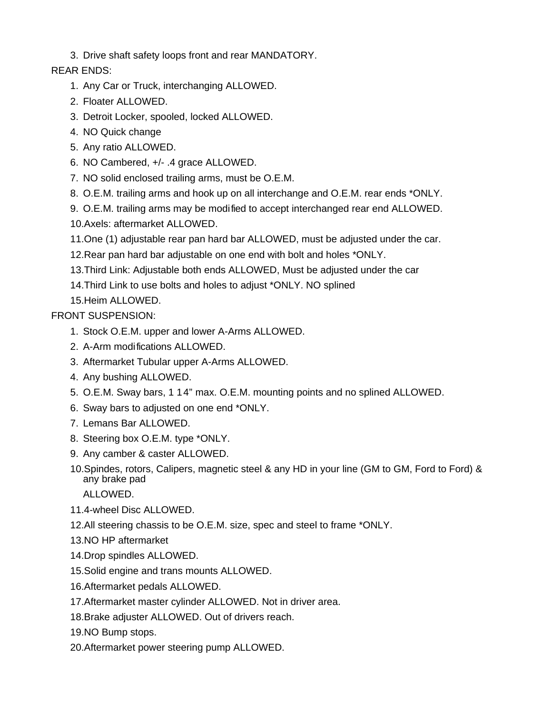3. Drive shaft safety loops front and rear MANDATORY.

# REAR ENDS:

- 1. Any Car or Truck, interchanging ALLOWED.
- 2. Floater ALLOWED.
- 3. Detroit Locker, spooled, locked ALLOWED.
- 4. NO Quick change
- 5. Any ratio ALLOWED.
- 6. NO Cambered, +/- .4 grace ALLOWED.
- 7. NO solid enclosed trailing arms, must be O.E.M.
- 8. O.E.M. trailing arms and hook up on all interchange and O.E.M. rear ends \*ONLY.
- 9. O.E.M. trailing arms may be modified to accept interchanged rear end ALLOWED.
- 10.Axels: aftermarket ALLOWED.
- 11.One (1) adjustable rear pan hard bar ALLOWED, must be adjusted under the car.
- 12.Rear pan hard bar adjustable on one end with bolt and holes \*ONLY.
- 13.Third Link: Adjustable both ends ALLOWED, Must be adjusted under the car
- 14.Third Link to use bolts and holes to adjust \*ONLY. NO splined

# 15.Heim ALLOWED.

# FRONT SUSPENSION:

- 1. Stock O.E.M. upper and lower A-Arms ALLOWED.
- 2. A-Arm modifications ALLOWED.
- 3. Aftermarket Tubular upper A-Arms ALLOWED.
- 4. Any bushing ALLOWED.
- 5. O.E.M. Sway bars, 1 14" max. O.E.M. mounting points and no splined ALLOWED.
- 6. Sway bars to adjusted on one end \*ONLY.
- 7. Lemans Bar ALLOWED.
- 8. Steering box O.E.M. type \*ONLY.
- 9. Any camber & caster ALLOWED.
- 10.Spindes, rotors, Calipers, magnetic steel & any HD in your line (GM to GM, Ford to Ford) & any brake pad

ALLOWED.

- 11.4-wheel Disc ALLOWED.
- 12.All steering chassis to be O.E.M. size, spec and steel to frame \*ONLY.
- 13.NO HP aftermarket
- 14.Drop spindles ALLOWED.
- 15.Solid engine and trans mounts ALLOWED.
- 16.Aftermarket pedals ALLOWED.
- 17.Aftermarket master cylinder ALLOWED. Not in driver area.
- 18.Brake adjuster ALLOWED. Out of drivers reach.
- 19.NO Bump stops.
- 20.Aftermarket power steering pump ALLOWED.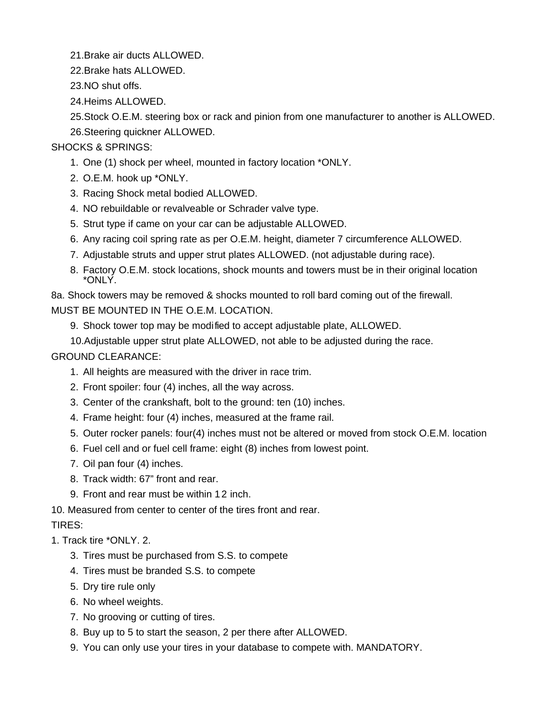21.Brake air ducts ALLOWED.

22.Brake hats ALLOWED.

23.NO shut offs.

24.Heims ALLOWED.

25.Stock O.E.M. steering box or rack and pinion from one manufacturer to another is ALLOWED. 26.Steering quickner ALLOWED.

# SHOCKS & SPRINGS:

- 1. One (1) shock per wheel, mounted in factory location \*ONLY.
- 2. O.E.M. hook up \*ONLY.
- 3. Racing Shock metal bodied ALLOWED.
- 4. NO rebuildable or revalveable or Schrader valve type.
- 5. Strut type if came on your car can be adjustable ALLOWED.
- 6. Any racing coil spring rate as per O.E.M. height, diameter 7 circumference ALLOWED.
- 7. Adjustable struts and upper strut plates ALLOWED. (not adjustable during race).
- 8. Factory O.E.M. stock locations, shock mounts and towers must be in their original location \*ONLY.

8a. Shock towers may be removed & shocks mounted to roll bard coming out of the firewall. MUST BE MOUNTED IN THE O.E.M. LOCATION.

- 9. Shock tower top may be modified to accept adjustable plate, ALLOWED.
- 10.Adjustable upper strut plate ALLOWED, not able to be adjusted during the race.

GROUND CLEARANCE:

- 1. All heights are measured with the driver in race trim.
- 2. Front spoiler: four (4) inches, all the way across.
- 3. Center of the crankshaft, bolt to the ground: ten (10) inches.
- 4. Frame height: four (4) inches, measured at the frame rail.
- 5. Outer rocker panels: four(4) inches must not be altered or moved from stock O.E.M. location
- 6. Fuel cell and or fuel cell frame: eight (8) inches from lowest point.
- 7. Oil pan four (4) inches.
- 8. Track width: 67" front and rear.
- 9. Front and rear must be within 1 2 inch.

10. Measured from center to center of the tires front and rear.

# TIRES:

# 1. Track tire \*ONLY. 2.

- 3. Tires must be purchased from S.S. to compete
- 4. Tires must be branded S.S. to compete
- 5. Dry tire rule only
- 6. No wheel weights.
- 7. No grooving or cutting of tires.
- 8. Buy up to 5 to start the season, 2 per there after ALLOWED.
- 9. You can only use your tires in your database to compete with. MANDATORY.